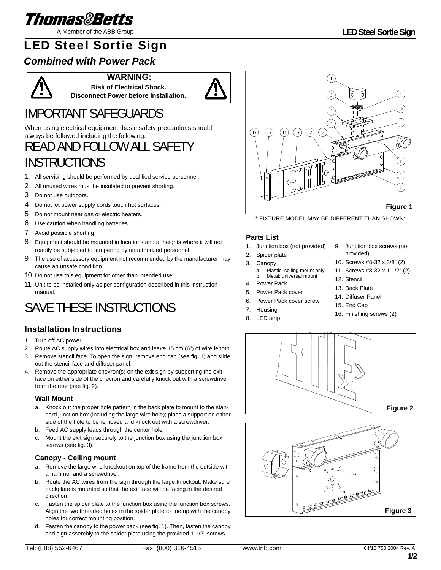

A Member of the ABB Group

## LED Steel Sortie Sign

### *Combined with Power Pack*



**WARNING: Risk of Electrical Shock.**

**Disconnect Power before Installation.**



## IMPORTANT SAFEGUARDS

When using electrical equipment, basic safety precautions should always be followed including the following:

## READ AND FOLLOW ALL SAFETY **INSTRUCTIONS**

- 1. All servicing should be performed by qualified service personnel.
- 2. All unused wires must be insulated to prevent shorting.
- 3. Do not use outdoors.
- 4. Do not let power supply cords touch hot surfaces.
- 5. Do not mount near gas or electric heaters.
- 6. Use caution when handling batteries.
- 7. Avoid possible shorting.
- 8. Equipment should be mounted in locations and at heights where it will not readily be subjected to tampering by unauthorized personnel.
- 9. The use of accessory equipment not recommended by the manufacturer may cause an unsafe condition.
- 10. Do not use this equipment for other than intended use.
- 11. Unit to be installed only as per configuration described in this instruction manual.

## SAVE THESE INSTRUCTIONS

### **Installation Instructions**

- 1. Turn off AC power.
- 2. Route AC supply wires into electrical box and leave 15 cm (6") of wire length.
- 3. Remove stencil face. To open the sign, remove end cap (see fig. 1) and slide out the stencil face and diffuser panel.
- 4. Remove the appropriate chevron(s) on the exit sign by supporting the exit face on either side of the chevron and carefully knock out with a screwdriver from the rear (see fig. 2).

#### **Wall Mount**

- a. Knock out the proper hole pattern in the back plate to mount to the standard junction box (including the large wire hole); place a support on either side of the hole to be removed and knock out with a screwdriver.
- b. Feed AC supply leads through the center hole.
- c. Mount the exit sign securely to the junction box using the junction box screws (see fig. 3).

#### **Canopy - Ceiling mount**

- a. Remove the large wire knockout on top of the frame from the outside with a hammer and a screwdriver.
- b. Route the AC wires from the sign through the large knockout. Make sure backplate is mounted so that the exit face will be facing in the desired direction.
- c. Fasten the spider plate to the junction box using the junction box screws. Align the two threaded holes in the spider plate to line up with the canopy holes for correct mounting position.
- d. Fasten the canopy to the power pack (see fig. 1). Then, fasten the canopy and sign assembly to the spider plate using the provided 1 1/2" screws.



\* FIXTURE MODEL MAY BE DIFFERENT THAN SHOWN\*

#### **Parts List**

- 1. Junction box (not provided)
- 2. Spider plate 3. Canopy a. Plastic: ceiling mount only b. Metal: universal mount
- 4. Power Pack
- 5. Power Pack cover
- 6. Power Pack cover screw
- 7. Housing
- 8. LED strip
- 9. Junction box screws (not provided)
- 10. Screws #8-32 x 3/8" (2)
- 11. Screws #8-32 x 1 1/2" (2)
- 12. Stencil
- 13. Back Plate
- 14. Diffuser Panel
- 15. End Cap
- 16. Finishing screws (2)



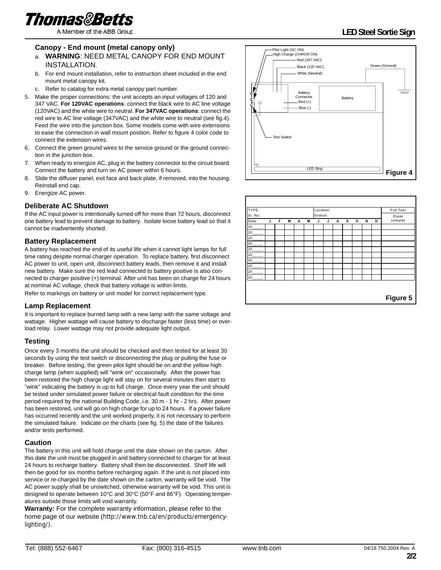

A Member of the ABB Group

### **LED Steel Sortie Sign**

#### **Canopy - End mount (metal canopy only)**

#### a. **WARNING**: NEED METAL CANOPY FOR END MOUNT INSTALLATION.

- b. For end mount installation, refer to instruction sheet included in the end mount metal canopy kit.
- c. Refer to catalog for extra metal canopy part number.
- 5. Make the proper connections: the unit accepts an input voltages of 120 and 347 VAC. **For 120VAC operations**: connect the black wire to AC line voltage (120VAC) and the white wire to neutral. **For 347VAC operations**: connect the red wire to AC line voltage (347VAC) and the white wire to neutral (see fig.4). Feed the wire into the junction box. Some models come with wire extensions to ease the connection in wall mount position. Refer to figure 4 color code to connect the extension wires.
- 6. Connect the green ground wires to the service ground or the ground connection in the junction box.
- 7. When ready to energize AC, plug in the battery connector to the circuit board. Connect the battery and turn on AC power within 6 hours.
- 8. Slide the diffuser panel, exit face and back plate, if removed, into the housing. Reinstall end cap.
- 9. Energize AC power.

#### **Deliberate AC Shutdown**

If the AC input power is intentionally turned off for more than 72 hours, disconnect one battery lead to prevent damage to battery. Isolate loose battery lead so that it cannot be inadvertently shorted.

#### **Battery Replacement**

A battery has reached the end of its useful life when it cannot light lamps for full time rating despite normal charger operation. To replace battery, first disconnect AC power to unit, open unit, disconnect battery leads, then remove it and install new battery. Make sure the red lead connected to battery positive is also connected to charger positive (+) terminal. After unit has been on charge for 24 hours at nominal AC voltage, check that battery voltage is within limits.

Refer to markings on battery or unit model for correct replacement type.

#### **Lamp Replacement**

It is important to replace burned lamp with a new lamp with the same voltage and wattage. Higher wattage will cause battery to discharge faster (less time) or overload relay. Lower wattage may not provide adequate light output.

#### **Testing**

Once every 3 months the unit should be checked and then tested for at least 30 seconds by using the test switch or disconnecting the plug or pulling the fuse or breaker. Before testing, the green pilot light should be on and the yellow high charge lamp (when supplied) will "wink on" occasionally. After the power has been restored the high charge light will stay on for several minutes then start to "wink" indicating the battery is up to full charge. Once every year the unit should be tested under simulated power failure or electrical fault condition for the time period required by the national Building Code, i.e. 30 m - 1 hr - 2 hrs. After power has been restored, unit will go on high charge for up to 24 hours. If a power failure has occurred recently and the unit worked properly, it is not necessary to perform the simulated failure. Indicate on the charts (see fig. 5) the date of the failures and/or tests performed.

#### **Caution**

The battery in this unit will hold charge until the date shown on the carton. After this date the unit must be plugged in and battery connected to charger for at least 24 hours to recharge battery. Battery shall then be disconnected. Shelf life will then be good for six months before recharging again. If the unit is not placed into service or re-charged by the date shown on the carton, warranty will be void. The AC power supply shall be unswitched, otherwise warranty will be void. This unit is designed to operate between 10°C and 30°C (50°F and 86°F). Operating temperatures outside those limits will void warranty.

**Warranty:** For the complete warranty information, please refer to the home page of our website (http://www.tnb.ca/en/products/emergencylighting/).



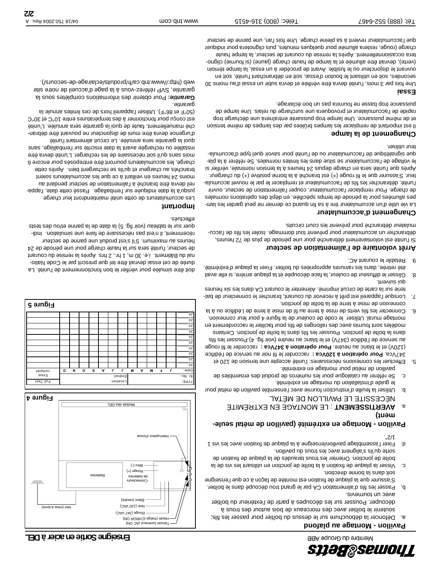

- a. Défoncer la débouchure sur le dessus du boîtier pour passer les fils; soutenir le boîtier avec des morceaux de bois autour des trous à découper. Pousser sur les découpes à partir de l'extérieur du boîtier avec un tournevis.
- b. Passer les fils d'alimentation CA par le grand trou découpé dans le boîtier. S'assurer que la plaque de fixation est montée de façon à ce que l'enseigne soit dans la bonne direction.
- c. Visser la plaque de fixation en utilisant les vis de la plant les vis de la boîte de jonction. Orienter les trous taraudés de la plaque de fixation de sorte qu'ils s'alignent avec les trous du pavillon.
- la plaque de fixer de fixation avec les vies particles is the vis 1 d. F. Fixer and the set of the set of the s 1/2".

#### **Pavillon - Montage en extrémité (pavillon de métal seulement)**

- **a. AVERTISSEMENT : LE MONTAGE EN EXTREMITE** . NÉCESSITE LE PAVILLON DE MÉTAL
- b. Utiliser la feuille d'instruction fournie avec l'ensemble pavillon de métal pour le guide d'installation du montage en extrémité.
- c. Se référer au catalogue pour les numéros de produit des ensembles de pavillon de métal pour montage en extrémité.
- 5. Effectuer les connexions nécessaires: l'unité accepte une tension de 120 et raccorder le fil noir au service de l'édifice **Pour opération à 120Vca :** 347Vca. raccorder le fil rouge **Pour opération à 347Vca :** (120V) et le blanc au neutre. au service de l'édifice (347V) et le blanc au neutre (voir fig. 4).Pousser les fils ans la boîte de jonction. Pousser les fils ana la boîte de jonction. Certains me fracevers and to model en de fils pour faciliter le raccordement en montage mural. Utiliser le code de couleur de la figure 4 pour leur connexion.
- 6. Connecter les fils verts de mise à terre au fil de mise à terre de l.édifice ou à la connexion de mise à terre de la boîte de jonction.
- 7. Lorsque l'appareil est prêt à recevoir du courant, brancher le connecteur de batterie sur la carte de circuit imprimé. Alimente le courant AO dans les six heures
- qui suivent. 8. Glisser le diffuseur de couleur, la face découpée et la plaque arrière, si elle avait été retirée, dans les rainures appropriées du boîtier. Fixer la plaque d'extrémité.
- 9. Rétablir le courant AC.

#### **Arrêt volontaire de l'alimentation de secteur**

Si l'unité est volontairement débranché pur une période de plus de 72 heures, débrancher un accumulateur pour prévenir tout dommage. Isoler les fils de l'accumulateur débranché pour prévenir les court circuits.

#### **Changement d'accumulateur**

La vie utile d'un accumulateur tire à sa fin quand ce dernier ne peut garder les lampes allumées pur la période de temps spécifiée, en aigle des opérations normales de charge. Pour remplacer l'accumulateur, couper l'alimentation de secteur, ouvrir l'unité, débrancher les fils de l'accumulateur et remplacer le par le nouvel accumulateur. S'assurer que le fil rouge  $(+)$  est branché à la borne positive  $(+)$  du chargeur. is teitriev ensuinant en sera de la tension de l'après de l'après de l'unité de l'après de l'après de le voltage de l'accumulateur se situe dans les limites normales. Se référer à la plathe sigualétique de l'accumulateur ou de l'unité pour savoir duel type d'accumulateur utiliser.

#### **Changement de la lampe**

Il est important de remplacer les lampes brûlées par de la même de même tension et de même puissance. Une lampe trop puissante entraînera une décharge trop rapide de l'accumulateur et provoquera une surcharge du relais. Une lampe de puissance trop basse ne fournira pas un bon éclairage.

#### **Essai**

Une fois ne diau mois i devra en la coint devra subie en la subie dans 10. secondes, soit en utilisant le bouton d'essai, soit en débranchant l'unité, soit en quvrant le disjoncteur ou le lusible. Avant de procéder à un é assai, la lampe témoin (verte), devrait être allumée et la lampe de haute charge (jaune) (si fournie) clignotera occasionnellement. Après la remise du courant de secteur, la lampe haute charge (rouge, restera allumée pour quelques minutes, puis clignotera pour indiquer que l'accumulateur revient à sa pleine charge. Une fois l'an, une panne de secteur

### **Enseigne Sortie en acier à DEL**





doit être simulée pour vérifier le bon fonctionnement de l'unité. La durée de cet essai devrait être tel que prescrit par le Code National du Bâtiment. i.e. 30 m, 1 hr., 2 hrs. Après la remise du courant de secteur, l'unité sera sur la haute charge pour une période de 24 heures au maximum. S'il s'est produit une panne de secteur récemment, il n'est pas nécessaire de faire une simulation. Indiquer sur le tableau (voir fig. 5) la date de la panne et/ou des tests effectués.

#### **Important**

Les accumulateurs de cette unité maintiendront leur charge jusqu'à la date indiquée sur l'emballage. Passé cette date, l'appareil devra être branché à l'alimentation de secteur pendant au moins 24 heures en veillant à ce que les accumulateurs soient branchés au chargeur et qu'ils se rechargent bien. Après cette charge, les accumulateurs pourront être entreposés pour encore 6 anté arveb étinu<sup>r</sup>. L'unité de les recharger. L'unité devra être installée ou rechargée avant la date inscrite sur l'emballage, sans quoi la garantie sera annulée. Le circuit alimentant l'unité d'urgence devra être muni de disjoncteur ne pouvant être débranché manuellement, faute de quoi la garantie sera annulée. L'unité O°OE te O°O1 entre is des températures entre 10°C et 30°C (50°F et 86°F). Utiliser l'appareil hors de ces limites annule la

garantie. Pour obtenir des informations complètes sous la **Garantie:** garantie, SVP référez-vous à la page d'accueil de notre site web (http://www.tnb.ca/fr/produits/eclairage-de-secours/).

**2/2**